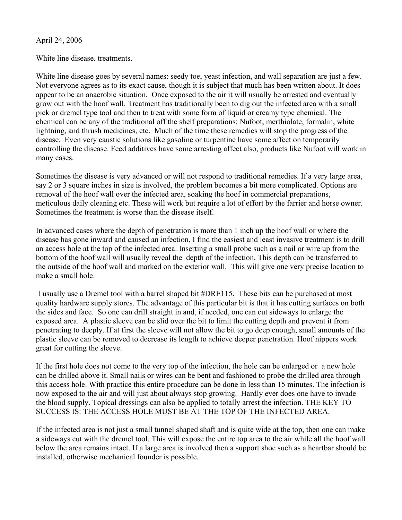## April 24, 2006

White line disease. treatments.

White line disease goes by several names: seedy toe, yeast infection, and wall separation are just a few. Not everyone agrees as to its exact cause, though it is subject that much has been written about. It does appear to be an anaerobic situation. Once exposed to the air it will usually be arrested and eventually grow out with the hoof wall. Treatment has traditionally been to dig out the infected area with a small pick or dremel type tool and then to treat with some form of liquid or creamy type chemical. The chemical can be any of the traditional off the shelf preparations: Nufoot, merthiolate, formalin, white lightning, and thrush medicines, etc. Much of the time these remedies will stop the progress of the disease. Even very caustic solutions like gasoline or turpentine have some affect on temporarily controlling the disease. Feed additives have some arresting affect also, products like Nufoot will work in many cases.

Sometimes the disease is very advanced or will not respond to traditional remedies. If a very large area, say 2 or 3 square inches in size is involved, the problem becomes a bit more complicated. Options are removal of the hoof wall over the infected area, soaking the hoof in commercial preparations, meticulous daily cleaning etc. These will work but require a lot of effort by the farrier and horse owner. Sometimes the treatment is worse than the disease itself.

In advanced cases where the depth of penetration is more than 1 inch up the hoof wall or where the disease has gone inward and caused an infection, I find the easiest and least invasive treatment is to drill an access hole at the top of the infected area. Inserting a small probe such as a nail or wire up from the bottom of the hoof wall will usually reveal the depth of the infection. This depth can be transferred to the outside of the hoof wall and marked on the exterior wall. This will give one very precise location to make a small hole.

 I usually use a Dremel tool with a barrel shaped bit #DRE115. These bits can be purchased at most quality hardware supply stores. The advantage of this particular bit is that it has cutting surfaces on both the sides and face. So one can drill straight in and, if needed, one can cut sideways to enlarge the exposed area. A plastic sleeve can be slid over the bit to limit the cutting depth and prevent it from penetrating to deeply. If at first the sleeve will not allow the bit to go deep enough, small amounts of the plastic sleeve can be removed to decrease its length to achieve deeper penetration. Hoof nippers work great for cutting the sleeve.

If the first hole does not come to the very top of the infection, the hole can be enlarged or a new hole can be drilled above it. Small nails or wires can be bent and fashioned to probe the drilled area through this access hole. With practice this entire procedure can be done in less than 15 minutes. The infection is now exposed to the air and will just about always stop growing. Hardly ever does one have to invade the blood supply. Topical dressings can also be applied to totally arrest the infection. THE KEY TO SUCCESS IS: THE ACCESS HOLE MUST BE AT THE TOP OF THE INFECTED AREA.

If the infected area is not just a small tunnel shaped shaft and is quite wide at the top, then one can make a sideways cut with the dremel tool. This will expose the entire top area to the air while all the hoof wall below the area remains intact. If a large area is involved then a support shoe such as a heartbar should be installed, otherwise mechanical founder is possible.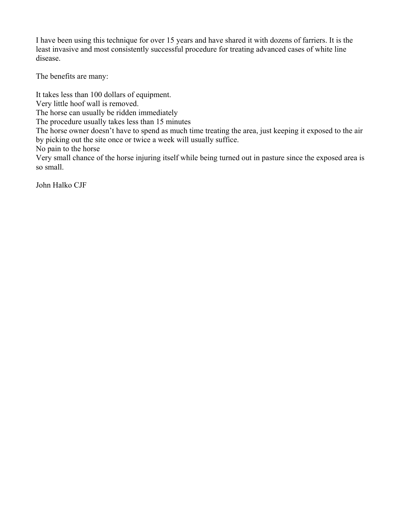I have been using this technique for over 15 years and have shared it with dozens of farriers. It is the least invasive and most consistently successful procedure for treating advanced cases of white line disease.

The benefits are many:

It takes less than 100 dollars of equipment.

Very little hoof wall is removed.

The horse can usually be ridden immediately

The procedure usually takes less than 15 minutes

The horse owner doesn't have to spend as much time treating the area, just keeping it exposed to the air by picking out the site once or twice a week will usually suffice.

No pain to the horse

Very small chance of the horse injuring itself while being turned out in pasture since the exposed area is so small.

John Halko CJF